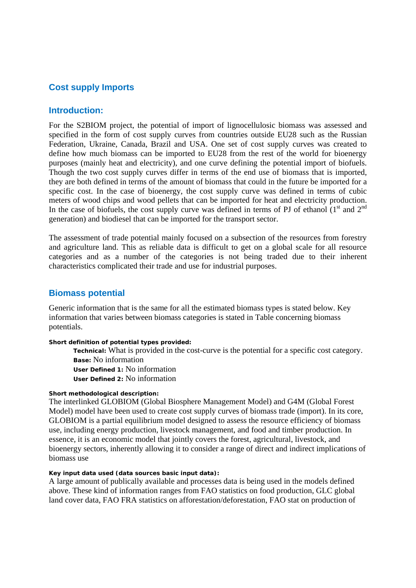# **Cost supply Imports**

### **Introduction:**

For the S2BIOM project, the potential of import of lignocellulosic biomass was assessed and specified in the form of cost supply curves from countries outside EU28 such as the Russian Federation, Ukraine, Canada, Brazil and USA. One set of cost supply curves was created to define how much biomass can be imported to EU28 from the rest of the world for bioenergy purposes (mainly heat and electricity), and one curve defining the potential import of biofuels. Though the two cost supply curves differ in terms of the end use of biomass that is imported, they are both defined in terms of the amount of biomass that could in the future be imported for a specific cost. In the case of bioenergy, the cost supply curve was defined in terms of cubic meters of wood chips and wood pellets that can be imported for heat and electricity production. In the case of biofuels, the cost supply curve was defined in terms of PJ of ethanol  $(1<sup>st</sup>$  and  $2<sup>nd</sup>$ generation) and biodiesel that can be imported for the transport sector.

The assessment of trade potential mainly focused on a subsection of the resources from forestry and agriculture land. This as reliable data is difficult to get on a global scale for all resource categories and as a number of the categories is not being traded due to their inherent characteristics complicated their trade and use for industrial purposes.

## **Biomass potential**

Generic information that is the same for all the estimated biomass types is stated below. Key information that varies between biomass categories is stated in Table concerning biomass potentials.

#### **Short definition of potential types provided:**

 **Technical:** What is provided in the cost-curve is the potential for a specific cost category. **Base:** No information

**User Defined 1:** No information

**User Defined 2:** No information

### **Short methodological description:**

The interlinked GLOBIOM (Global Biosphere Management Model) and G4M (Global Forest Model) model have been used to create cost supply curves of biomass trade (import). In its core, GLOBIOM is a partial equilibrium model designed to assess the resource efficiency of biomass use, including energy production, livestock management, and food and timber production. In essence, it is an economic model that jointly covers the forest, agricultural, livestock, and bioenergy sectors, inherently allowing it to consider a range of direct and indirect implications of biomass use

#### **Key input data used (data sources basic input data):**

A large amount of publically available and processes data is being used in the models defined above. These kind of information ranges from FAO statistics on food production, GLC global land cover data, FAO FRA statistics on afforestation/deforestation, FAO stat on production of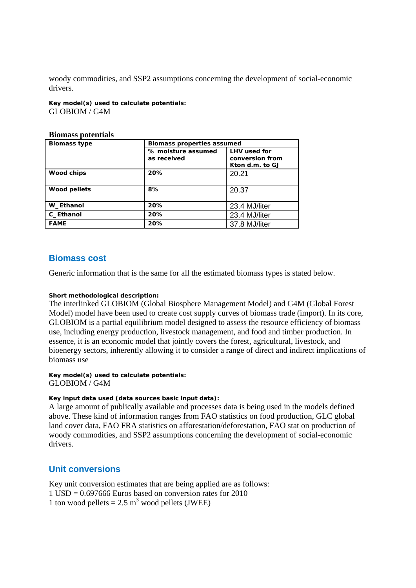woody commodities, and SSP2 assumptions concerning the development of social-economic drivers.

**Key model(s) used to calculate potentials:**  GLOBIOM / G4M

#### **Biomass potentials**

| <b>Biomass type</b> | <b>Biomass properties assumed</b> |                                                           |
|---------------------|-----------------------------------|-----------------------------------------------------------|
|                     | % moisture assumed<br>as received | <b>LHV</b> used for<br>conversion from<br>Kton d.m. to GJ |
| Wood chips          | 20%                               | 20.21                                                     |
| <b>Wood pellets</b> | 8%                                | 20.37                                                     |
| W_Ethanol           | 20%                               | 23.4 MJ/liter                                             |
| C_Ethanol           | 20%                               | 23.4 MJ/liter                                             |
| <b>FAME</b>         | 20%                               | 37.8 MJ/liter                                             |

## **Biomass cost**

Generic information that is the same for all the estimated biomass types is stated below.

### **Short methodological description:**

The interlinked GLOBIOM (Global Biosphere Management Model) and G4M (Global Forest Model) model have been used to create cost supply curves of biomass trade (import). In its core, GLOBIOM is a partial equilibrium model designed to assess the resource efficiency of biomass use, including energy production, livestock management, and food and timber production. In essence, it is an economic model that jointly covers the forest, agricultural, livestock, and bioenergy sectors, inherently allowing it to consider a range of direct and indirect implications of biomass use

#### **Key model(s) used to calculate potentials:**  GLOBIOM / G4M

### **Key input data used (data sources basic input data):**

A large amount of publically available and processes data is being used in the models defined above. These kind of information ranges from FAO statistics on food production, GLC global land cover data, FAO FRA statistics on afforestation/deforestation, FAO stat on production of woody commodities, and SSP2 assumptions concerning the development of social-economic drivers.

# **Unit conversions**

Key unit conversion estimates that are being applied are as follows:  $1$  USD = 0.697666 Euros based on conversion rates for 2010 1 ton wood pellets =  $2.5 \text{ m}^3$  wood pellets (JWEE)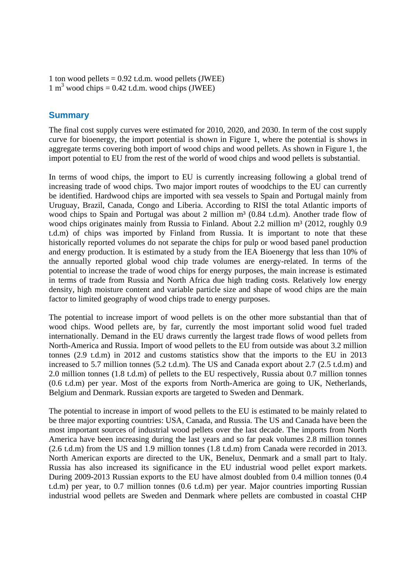```
1 ton wood pellets = 0.92 t.d.m. wood pellets (JWEE)
1 \text{ m}^3 wood chips = 0.42 t.d.m. wood chips (JWEE)
```
# **Summary**

The final cost supply curves were estimated for 2010, 2020, and 2030. In term of the cost supply curve for bioenergy, the import potential is shown in Figure 1, where the potential is shows in aggregate terms covering both import of wood chips and wood pellets. As shown in Figure 1, the import potential to EU from the rest of the world of wood chips and wood pellets is substantial.

In terms of wood chips, the import to EU is currently increasing following a global trend of increasing trade of wood chips. Two major import routes of woodchips to the EU can currently be identified. Hardwood chips are imported with sea vessels to Spain and Portugal mainly from Uruguay, Brazil, Canada, Congo and Liberia. According to RISI the total Atlantic imports of wood chips to Spain and Portugal was about 2 million m<sup>3</sup> (0.84 t.d.m). Another trade flow of wood chips originates mainly from Russia to Finland. About 2.2 million m<sup>3</sup> (2012, roughly 0.9 t.d.m) of chips was imported by Finland from Russia. It is important to note that these historically reported volumes do not separate the chips for pulp or wood based panel production and energy production. It is estimated by a study from the IEA Bioenergy that less than 10% of the annually reported global wood chip trade volumes are energy-related. In terms of the potential to increase the trade of wood chips for energy purposes, the main increase is estimated in terms of trade from Russia and North Africa due high trading costs. Relatively low energy density, high moisture content and variable particle size and shape of wood chips are the main factor to limited geography of wood chips trade to energy purposes.

The potential to increase import of wood pellets is on the other more substantial than that of wood chips. Wood pellets are, by far, currently the most important solid wood fuel traded internationally. Demand in the EU draws currently the largest trade flows of wood pellets from North-America and Russia. Import of wood pellets to the EU from outside was about 3.2 million tonnes (2.9 t.d.m) in 2012 and customs statistics show that the imports to the EU in 2013 increased to 5.7 million tonnes (5.2 t.d.m). The US and Canada export about 2.7 (2.5 t.d.m) and 2.0 million tonnes (1.8 t.d.m) of pellets to the EU respectively, Russia about 0.7 million tonnes (0.6 t.d.m) per year. Most of the exports from North-America are going to UK, Netherlands, Belgium and Denmark. Russian exports are targeted to Sweden and Denmark.

The potential to increase in import of wood pellets to the EU is estimated to be mainly related to be three major exporting countries: USA, Canada, and Russia. The US and Canada have been the most important sources of industrial wood pellets over the last decade. The imports from North America have been increasing during the last years and so far peak volumes 2.8 million tonnes (2.6 t.d.m) from the US and 1.9 million tonnes (1.8 t.d.m) from Canada were recorded in 2013. North American exports are directed to the UK, Benelux, Denmark and a small part to Italy. Russia has also increased its significance in the EU industrial wood pellet export markets. During 2009-2013 Russian exports to the EU have almost doubled from 0.4 million tonnes (0.4 t.d.m) per year, to 0.7 million tonnes (0.6 t.d.m) per year. Major countries importing Russian industrial wood pellets are Sweden and Denmark where pellets are combusted in coastal CHP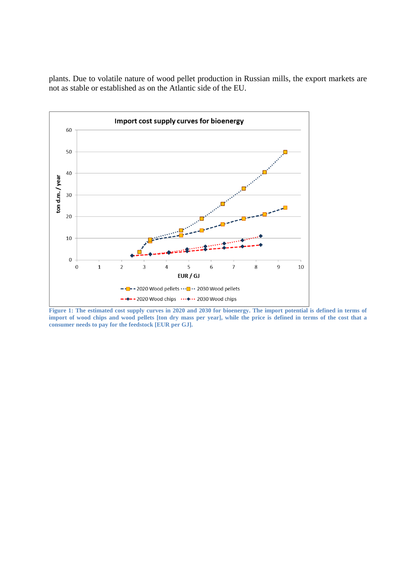plants. Due to volatile nature of wood pellet production in Russian mills, the export markets are not as stable or established as on the Atlantic side of the EU.



**Figure 1: The estimated cost supply curves in 2020 and 2030 for bioenergy. The import potential is defined in terms of import of wood chips and wood pellets [ton dry mass per year], while the price is defined in terms of the cost that a consumer needs to pay for the feedstock [EUR per GJ].**